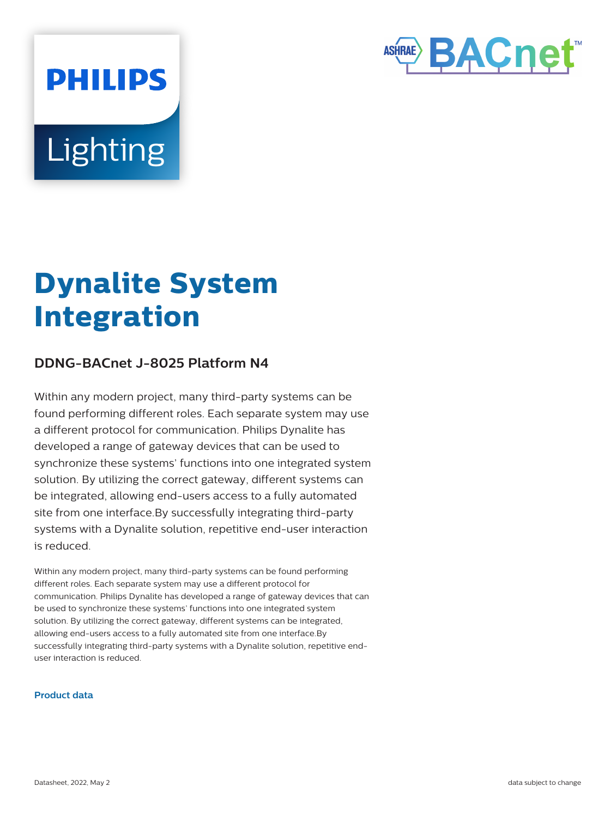

# **Lighting**

**PHILIPS** 

## **Dynalite System Integration**

### **DDNG-BACnet J-8025 Platform N4**

Within any modern project, many third-party systems can be found performing different roles. Each separate system may use a different protocol for communication. Philips Dynalite has developed a range of gateway devices that can be used to synchronize these systems' functions into one integrated system solution. By utilizing the correct gateway, different systems can be integrated, allowing end-users access to a fully automated site from one interface.By successfully integrating third-party systems with a Dynalite solution, repetitive end-user interaction is reduced.

Within any modern project, many third-party systems can be found performing different roles. Each separate system may use a different protocol for communication. Philips Dynalite has developed a range of gateway devices that can be used to synchronize these systems' functions into one integrated system solution. By utilizing the correct gateway, different systems can be integrated, allowing end-users access to a fully automated site from one interface.By successfully integrating third-party systems with a Dynalite solution, repetitive enduser interaction is reduced.

#### **Product data**